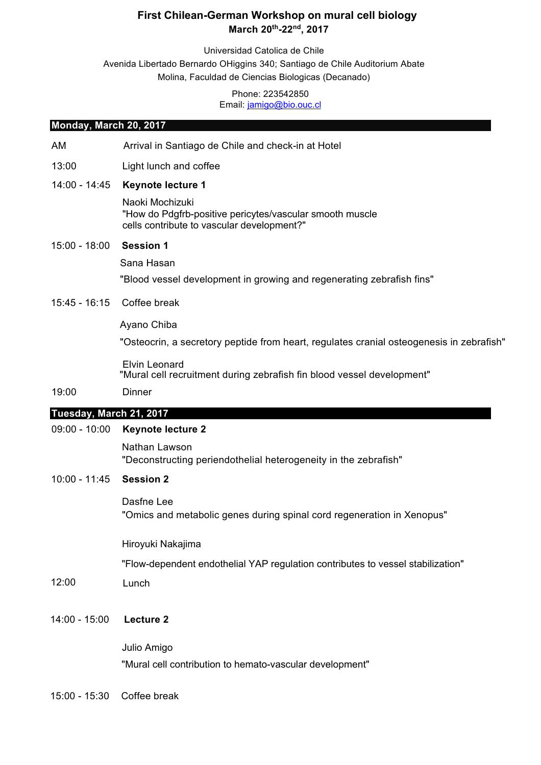# **First Chilean-German Workshop on mural cell biology March 20th -22nd , 2017**

Universidad Catolica de Chile Avenida Libertado Bernardo OHiggins 340; Santiago de Chile Auditorium Abate Molina, Faculdad de Ciencias Biologicas (Decanado)

#### Phone: 223542850 Email: jamigo@bio.ouc.cl

#### **Monday, March 20, 2017**

- AM Arrival in Santiago de Chile and check-in at Hotel
- 13:00 Light lunch and coffee
- 14:00 14:45 **Keynote lecture 1**

Naoki Mochizuki "How do Pdgfrb-positive pericytes/vascular smooth muscle cells contribute to vascular development?"

#### 15:00 - 18:00 **Session 1**

Sana Hasan

"Blood vessel development in growing and regenerating zebrafish fins"

15:45 - 16:15 Coffee break

Ayano Chiba

"Osteocrin, a secretory peptide from heart, regulates cranial osteogenesis in zebrafish"

Elvin Leonard "Mural cell recruitment during zebrafish fin blood vessel development"

#### 19:00 Dinner

## **Tuesday, March 21, 2017**

### 09:00 - 10:00 **Keynote lecture 2**

Nathan Lawson "Deconstructing periendothelial heterogeneity in the zebrafish"

## 10:00 - 11:45 **Session 2**

Dasfne Lee "Omics and metabolic genes during spinal cord regeneration in Xenopus"

Hiroyuki Nakajima

"Flow-dependent endothelial YAP regulation contributes to vessel stabilization"

- 12:00 Lunch
- 14:00 15:00 **Lecture 2**

Julio Amigo "Mural cell contribution to hemato-vascular development"

15:00 - 15:30 Coffee break